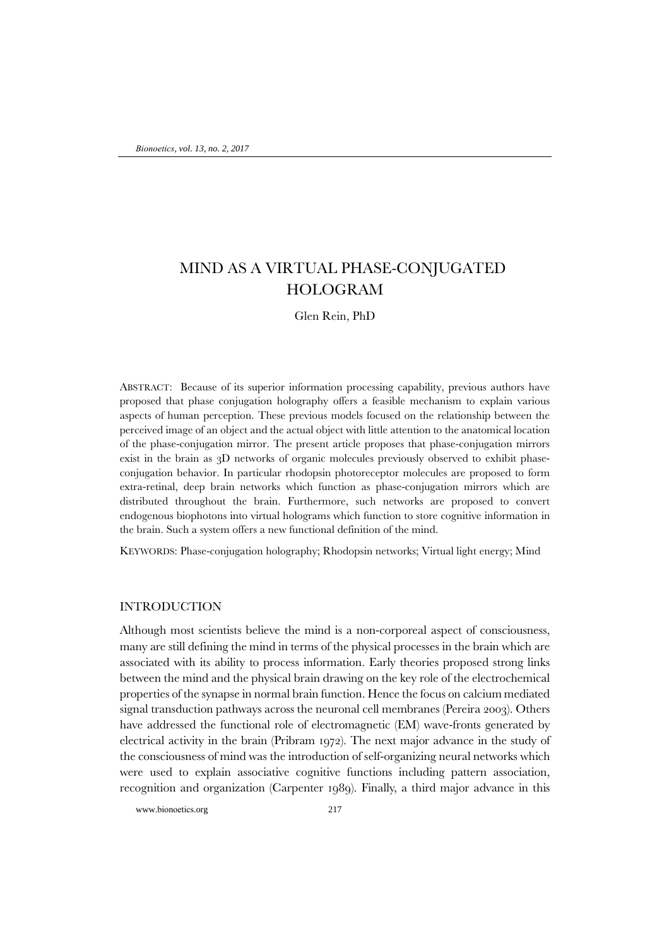# MIND AS A VIRTUAL PHASE-CONJUGATED HOLOGRAM

Glen Rein, PhD

ABSTRACT: Because of its superior information processing capability, previous authors have proposed that phase conjugation holography offers a feasible mechanism to explain various aspects of human perception. These previous models focused on the relationship between the perceived image of an object and the actual object with little attention to the anatomical location of the phase-conjugation mirror. The present article proposes that phase-conjugation mirrors exist in the brain as 3D networks of organic molecules previously observed to exhibit phaseconjugation behavior. In particular rhodopsin photoreceptor molecules are proposed to form extra-retinal, deep brain networks which function as phase-conjugation mirrors which are distributed throughout the brain. Furthermore, such networks are proposed to convert endogenous biophotons into virtual holograms which function to store cognitive information in the brain. Such a system offers a new functional definition of the mind.

KEYWORDS: Phase-conjugation holography; Rhodopsin networks; Virtual light energy; Mind

### INTRODUCTION

Although most scientists believe the mind is a non-corporeal aspect of consciousness, many are still defining the mind in terms of the physical processes in the brain which are associated with its ability to process information. Early theories proposed strong links between the mind and the physical brain drawing on the key role of the electrochemical properties of the synapse in normal brain function. Hence the focus on calcium mediated signal transduction pathways across the neuronal cell membranes (Pereira 2003). Others have addressed the functional role of electromagnetic (EM) wave-fronts generated by electrical activity in the brain (Pribram 1972). The next major advance in the study of the consciousness of mind was the introduction of self-organizing neural networks which were used to explain associative cognitive functions including pattern association, recognition and organization (Carpenter 1989). Finally, a third major advance in this

www.bionoetics.org 217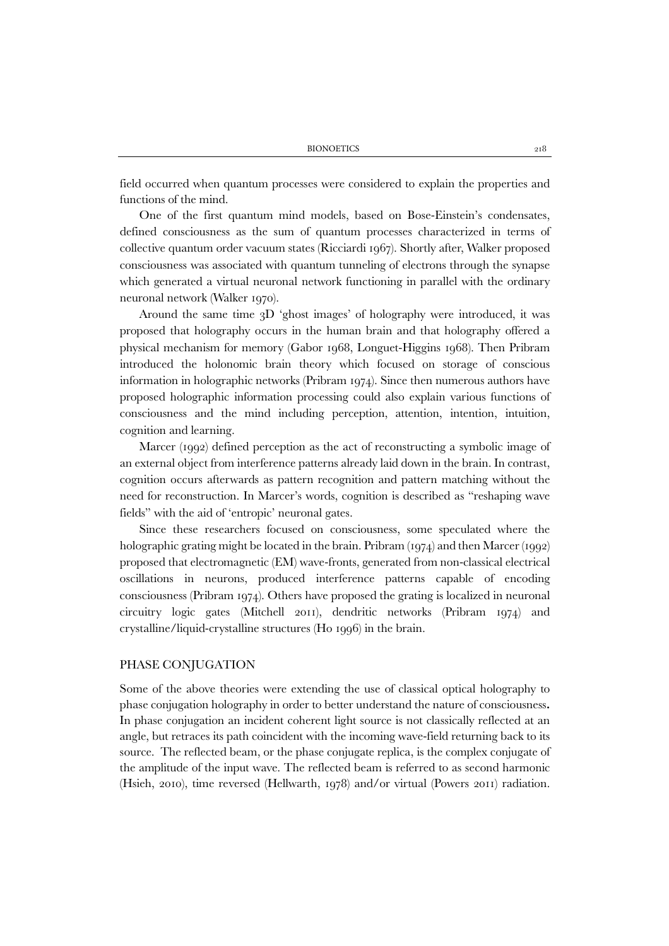field occurred when quantum processes were considered to explain the properties and functions of the mind.

One of the first quantum mind models, based on Bose-Einstein's condensates, defined consciousness as the sum of quantum processes characterized in terms of collective quantum order vacuum states (Ricciardi 1967). Shortly after, Walker proposed consciousness was associated with quantum tunneling of electrons through the synapse which generated a virtual neuronal network functioning in parallel with the ordinary neuronal network (Walker 1970).

Around the same time 3D 'ghost images' of holography were introduced, it was proposed that holography occurs in the human brain and that holography offered a physical mechanism for memory (Gabor 1968, Longuet-Higgins 1968). Then Pribram introduced the holonomic brain theory which focused on storage of conscious information in holographic networks (Pribram 1974). Since then numerous authors have proposed holographic information processing could also explain various functions of consciousness and the mind including perception, attention, intention, intuition, cognition and learning.

Marcer (1992) defined perception as the act of reconstructing a symbolic image of an external object from interference patterns already laid down in the brain. In contrast, cognition occurs afterwards as pattern recognition and pattern matching without the need for reconstruction. In Marcer's words, cognition is described as "reshaping wave fields" with the aid of 'entropic' neuronal gates.

Since these researchers focused on consciousness, some speculated where the holographic grating might be located in the brain. Pribram (1974) and then Marcer (1992) proposed that electromagnetic (EM) wave-fronts, generated from non-classical electrical oscillations in neurons, produced interference patterns capable of encoding consciousness (Pribram 1974). Others have proposed the grating is localized in neuronal circuitry logic gates (Mitchell 2011), dendritic networks (Pribram 1974) and crystalline/liquid-crystalline structures (Ho 1996) in the brain.

### PHASE CONJUGATION

Some of the above theories were extending the use of classical optical holography to phase conjugation holography in order to better understand the nature of consciousness**.**  In phase conjugation an incident coherent light source is not classically reflected at an angle, but retraces its path coincident with the incoming wave-field returning back to its source. The reflected beam, or the phase conjugate replica, is the complex conjugate of the amplitude of the input wave. The reflected beam is referred to as second harmonic (Hsieh, 2010), time reversed (Hellwarth, 1978) and/or virtual (Powers 2011) radiation.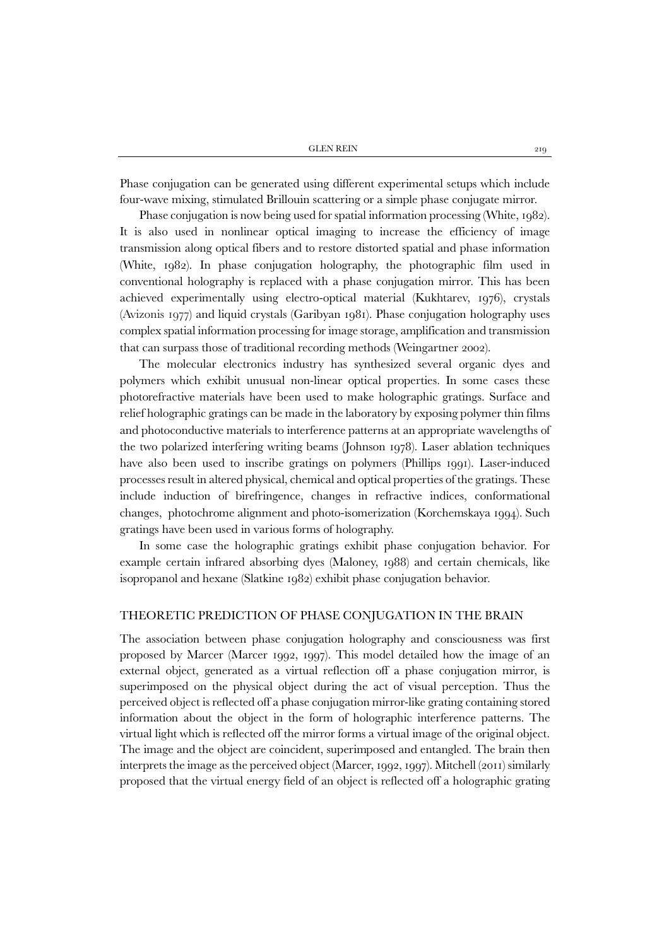Phase conjugation can be generated using different experimental setups which include four-wave mixing, stimulated Brillouin scattering or a simple phase conjugate mirror.

Phase conjugation is now being used for spatial information processing (White, 1982). It is also used in nonlinear optical imaging to increase the efficiency of image transmission along optical fibers and to restore distorted spatial and phase information (White, 1982). In phase conjugation holography, the photographic film used in conventional holography is replaced with a phase conjugation mirror. This has been achieved experimentally using electro-optical material (Kukhtarev, 1976), crystals (Avizonis 1977) and liquid crystals (Garibyan 1981). Phase conjugation holography uses complex spatial information processing for image storage, amplification and transmission that can surpass those of traditional recording methods (Weingartner 2002).

The molecular electronics industry has synthesized several organic dyes and polymers which exhibit unusual non-linear optical properties. In some cases these photorefractive materials have been used to make holographic gratings. Surface and relief holographic gratings can be made in the laboratory by exposing polymer thin films and photoconductive materials to interference patterns at an appropriate wavelengths of the two polarized interfering writing beams (Johnson 1978). Laser ablation techniques have also been used to inscribe gratings on polymers (Phillips 1991). Laser-induced processes result in altered physical, chemical and optical properties of the gratings. These include induction of birefringence, changes in refractive indices, conformational changes, photochrome alignment and photo-isomerization (Korchemskaya 1994). Such gratings have been used in various forms of holography.

In some case the holographic gratings exhibit phase conjugation behavior. For example certain infrared absorbing dyes (Maloney, 1988) and certain chemicals, like isopropanol and hexane (Slatkine 1982) exhibit phase conjugation behavior.

# THEORETIC PREDICTION OF PHASE CONJUGATION IN THE BRAIN

The association between phase conjugation holography and consciousness was first proposed by Marcer (Marcer 1992, 1997). This model detailed how the image of an external object, generated as a virtual reflection off a phase conjugation mirror, is superimposed on the physical object during the act of visual perception. Thus the perceived object is reflected off a phase conjugation mirror-like grating containing stored information about the object in the form of holographic interference patterns. The virtual light which is reflected off the mirror forms a virtual image of the original object. The image and the object are coincident, superimposed and entangled. The brain then interprets the image as the perceived object (Marcer, 1992, 1997). Mitchell (2011) similarly proposed that the virtual energy field of an object is reflected off a holographic grating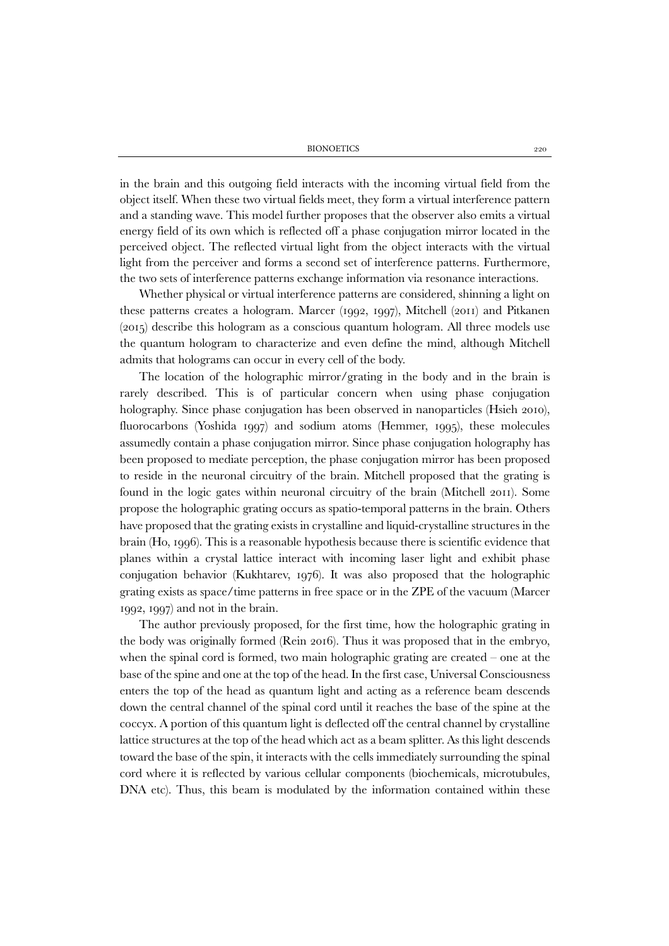in the brain and this outgoing field interacts with the incoming virtual field from the object itself. When these two virtual fields meet, they form a virtual interference pattern and a standing wave. This model further proposes that the observer also emits a virtual energy field of its own which is reflected off a phase conjugation mirror located in the perceived object. The reflected virtual light from the object interacts with the virtual light from the perceiver and forms a second set of interference patterns. Furthermore, the two sets of interference patterns exchange information via resonance interactions.

Whether physical or virtual interference patterns are considered, shinning a light on these patterns creates a hologram. Marcer (1992, 1997), Mitchell (2011) and Pitkanen (2015) describe this hologram as a conscious quantum hologram. All three models use the quantum hologram to characterize and even define the mind, although Mitchell admits that holograms can occur in every cell of the body.

The location of the holographic mirror/grating in the body and in the brain is rarely described. This is of particular concern when using phase conjugation holography. Since phase conjugation has been observed in nanoparticles (Hsieh 2010), fluorocarbons (Yoshida 1997) and sodium atoms (Hemmer, 1995), these molecules assumedly contain a phase conjugation mirror. Since phase conjugation holography has been proposed to mediate perception, the phase conjugation mirror has been proposed to reside in the neuronal circuitry of the brain. Mitchell proposed that the grating is found in the logic gates within neuronal circuitry of the brain (Mitchell 2011). Some propose the holographic grating occurs as spatio-temporal patterns in the brain. Others have proposed that the grating exists in crystalline and liquid-crystalline structures in the brain (Ho, 1996). This is a reasonable hypothesis because there is scientific evidence that planes within a crystal lattice interact with incoming laser light and exhibit phase conjugation behavior (Kukhtarev, 1976). It was also proposed that the holographic grating exists as space/time patterns in free space or in the ZPE of the vacuum (Marcer 1992, 1997) and not in the brain.

The author previously proposed, for the first time, how the holographic grating in the body was originally formed (Rein 2016). Thus it was proposed that in the embryo, when the spinal cord is formed, two main holographic grating are created – one at the base of the spine and one at the top of the head. In the first case, Universal Consciousness enters the top of the head as quantum light and acting as a reference beam descends down the central channel of the spinal cord until it reaches the base of the spine at the coccyx. A portion of this quantum light is deflected off the central channel by crystalline lattice structures at the top of the head which act as a beam splitter. As this light descends toward the base of the spin, it interacts with the cells immediately surrounding the spinal cord where it is reflected by various cellular components (biochemicals, microtubules, DNA etc). Thus, this beam is modulated by the information contained within these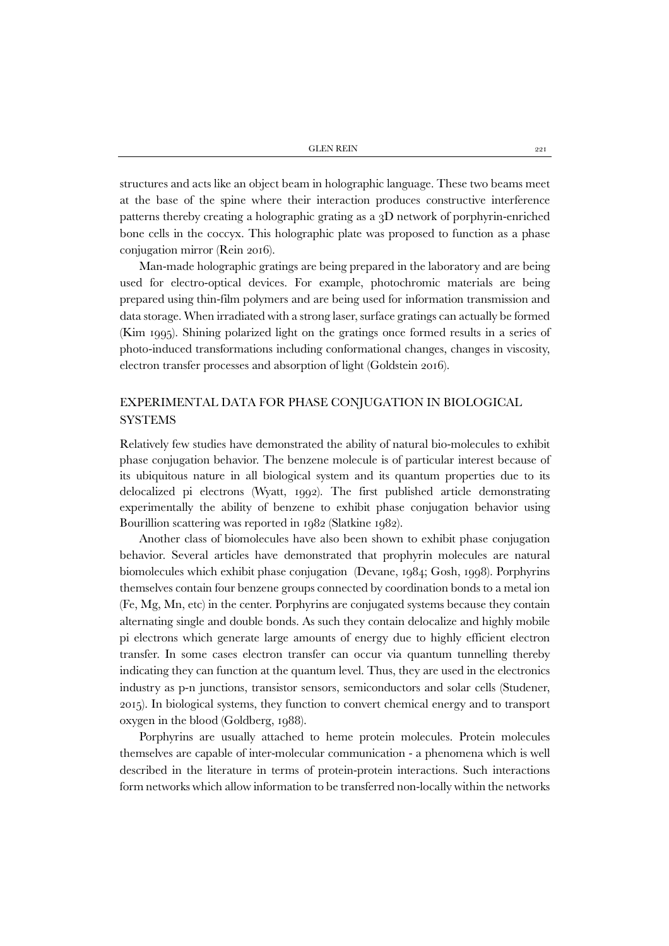structures and acts like an object beam in holographic language. These two beams meet at the base of the spine where their interaction produces constructive interference patterns thereby creating a holographic grating as a 3D network of porphyrin-enriched bone cells in the coccyx. This holographic plate was proposed to function as a phase conjugation mirror (Rein 2016).

Man-made holographic gratings are being prepared in the laboratory and are being used for electro-optical devices. For example, photochromic materials are being prepared using thin-film polymers and are being used for information transmission and data storage. When irradiated with a strong laser, surface gratings can actually be formed (Kim 1995). Shining polarized light on the gratings once formed results in a series of photo-induced transformations including conformational changes, changes in viscosity, electron transfer processes and absorption of light (Goldstein 2016).

# EXPERIMENTAL DATA FOR PHASE CONJUGATION IN BIOLOGICAL **SYSTEMS**

Relatively few studies have demonstrated the ability of natural bio-molecules to exhibit phase conjugation behavior. The benzene molecule is of particular interest because of its ubiquitous nature in all biological system and its quantum properties due to its delocalized pi electrons (Wyatt, 1992). The first published article demonstrating experimentally the ability of benzene to exhibit phase conjugation behavior using Bourillion scattering was reported in 1982 (Slatkine 1982).

Another class of biomolecules have also been shown to exhibit phase conjugation behavior. Several articles have demonstrated that prophyrin molecules are natural biomolecules which exhibit phase conjugation (Devane, 1984; Gosh, 1998). Porphyrins themselves contain four benzene groups connected by coordination bonds to a metal ion (Fe, Mg, Mn, etc) in the center. Porphyrins are conjugated systems because they contain alternating single and double bonds. As such they contain delocalize and highly mobile pi electrons which generate large amounts of energy due to highly efficient electron transfer. In some cases electron transfer can occur via quantum tunnelling thereby indicating they can function at the quantum level. Thus, they are used in the electronics industry as p-n junctions, transistor sensors, semiconductors and solar cells (Studener, 2015). In biological systems, they function to convert chemical energy and to transport oxygen in the blood (Goldberg, 1988).

Porphyrins are usually attached to heme protein molecules. Protein molecules themselves are capable of inter-molecular communication - a phenomena which is well described in the literature in terms of protein-protein interactions. Such interactions form networks which allow information to be transferred non-locally within the networks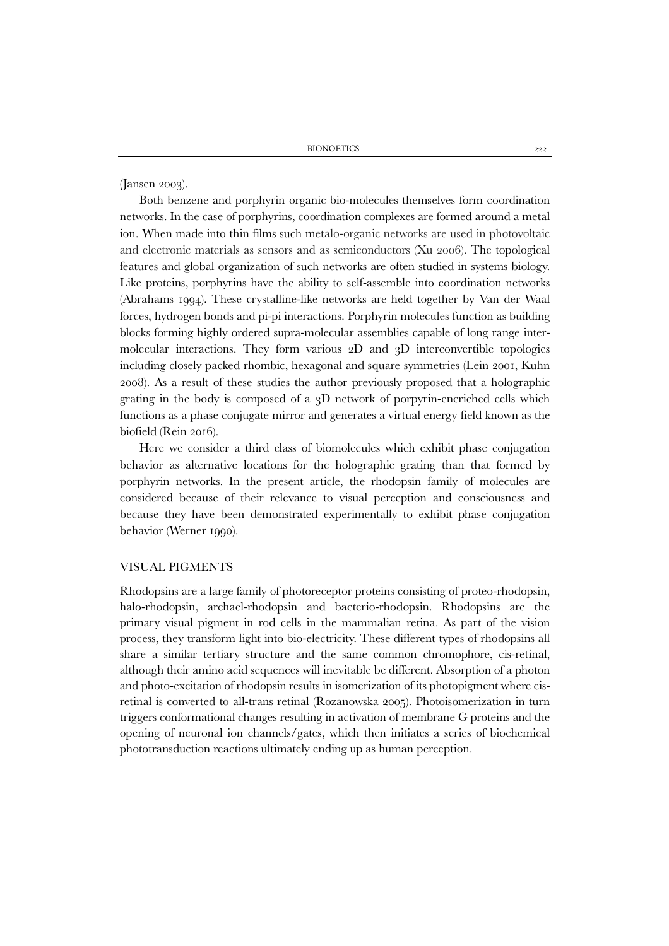(Jansen 2003).

Both benzene and porphyrin organic bio-molecules themselves form coordination networks. In the case of porphyrins, coordination complexes are formed around a metal ion. When made into thin films such metalo-organic networks are used in photovoltaic and electronic materials as sensors and as semiconductors (Xu 2006). The topological features and global organization of such networks are often studied in systems biology. Like proteins, porphyrins have the ability to self-assemble into coordination networks (Abrahams 1994). These crystalline-like networks are held together by Van der Waal forces, hydrogen bonds and pi-pi interactions. Porphyrin molecules function as building blocks forming highly ordered supra-molecular assemblies capable of long range intermolecular interactions. They form various 2D and 3D interconvertible topologies including closely packed rhombic, hexagonal and square symmetries (Lein 2001, Kuhn 2008). As a result of these studies the author previously proposed that a holographic grating in the body is composed of a 3D network of porpyrin-encriched cells which functions as a phase conjugate mirror and generates a virtual energy field known as the biofield (Rein 2016).

Here we consider a third class of biomolecules which exhibit phase conjugation behavior as alternative locations for the holographic grating than that formed by porphyrin networks. In the present article, the rhodopsin family of molecules are considered because of their relevance to visual perception and consciousness and because they have been demonstrated experimentally to exhibit phase conjugation behavior (Werner 1990).

#### VISUAL PIGMENTS

Rhodopsins are a large family of photoreceptor proteins consisting of proteo-rhodopsin, halo-rhodopsin, archael-rhodopsin and bacterio-rhodopsin. Rhodopsins are the primary visual pigment in rod cells in the mammalian retina. As part of the vision process, they transform light into bio-electricity. These different types of rhodopsins all share a similar tertiary structure and the same common chromophore, cis-retinal, although their amino acid sequences will inevitable be different. Absorption of a photon and photo-excitation of rhodopsin results in isomerization of its photopigment where cisretinal is converted to all-trans retinal (Rozanowska 2005). Photoisomerization in turn triggers conformational changes resulting in activation of membrane G proteins and the opening of neuronal ion channels/gates, which then initiates a series of biochemical phototransduction reactions ultimately ending up as human perception.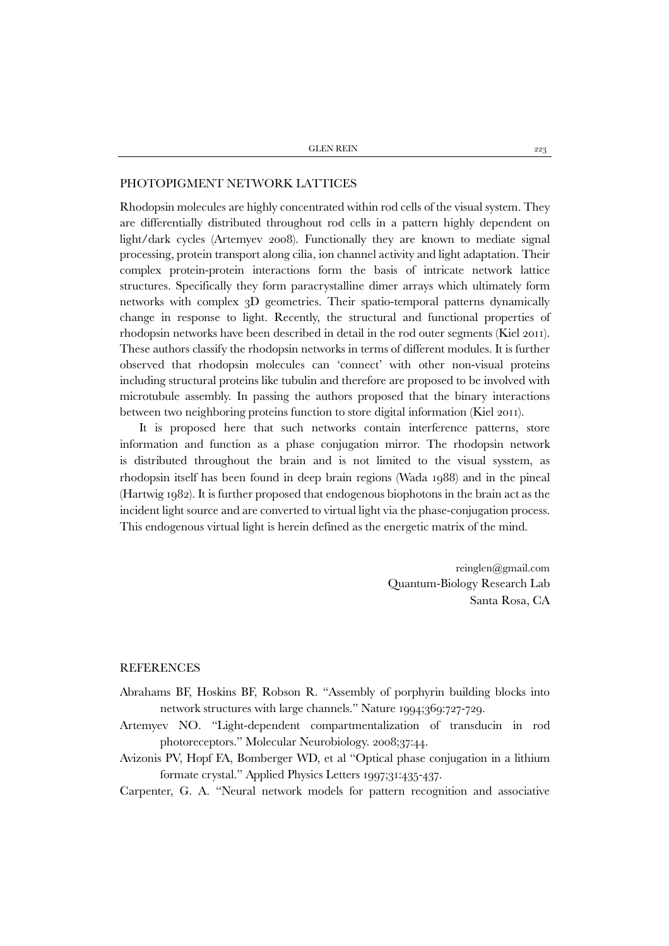### PHOTOPIGMENT NETWORK LATTICES

Rhodopsin molecules are highly concentrated within rod cells of the visual system. They are differentially distributed throughout rod cells in a pattern highly dependent on light/dark cycles (Artemyev 2008). Functionally they are known to mediate signal processing, protein transport along cilia, ion channel activity and light adaptation. Their complex protein-protein interactions form the basis of intricate network lattice structures. Specifically they form paracrystalline dimer arrays which ultimately form networks with complex 3D geometries. Their spatio-temporal patterns dynamically change in response to light. Recently, the structural and functional properties of rhodopsin networks have been described in detail in the rod outer segments (Kiel 2011). These authors classify the rhodopsin networks in terms of different modules. It is further observed that rhodopsin molecules can 'connect' with other non-visual proteins including structural proteins like tubulin and therefore are proposed to be involved with microtubule assembly. In passing the authors proposed that the binary interactions between two neighboring proteins function to store digital information (Kiel 2011).

It is proposed here that such networks contain interference patterns, store information and function as a phase conjugation mirror. The rhodopsin network is distributed throughout the brain and is not limited to the visual sysstem, as rhodopsin itself has been found in deep brain regions (Wada 1988) and in the pineal (Hartwig 1982). It is further proposed that endogenous biophotons in the brain act as the incident light source and are converted to virtual light via the phase-conjugation process. This endogenous virtual light is herein defined as the energetic matrix of the mind.

> reinglen@gmail.com Quantum-Biology Research Lab Santa Rosa, CA

## REFERENCES

- Abrahams BF, Hoskins BF, Robson R. "Assembly of porphyrin building blocks into network structures with large channels." Nature 1994;369:727-729.
- Artemyev NO. "Light-dependent compartmentalization of transducin in rod photoreceptors." Molecular Neurobiology. 2008;37:44.
- Avizonis PV, Hopf FA, Bomberger WD, et al "Optical phase conjugation in a lithium formate crystal." Applied Physics Letters 1997;31:435-437.
- Carpenter, G. A. "Neural network models for pattern recognition and associative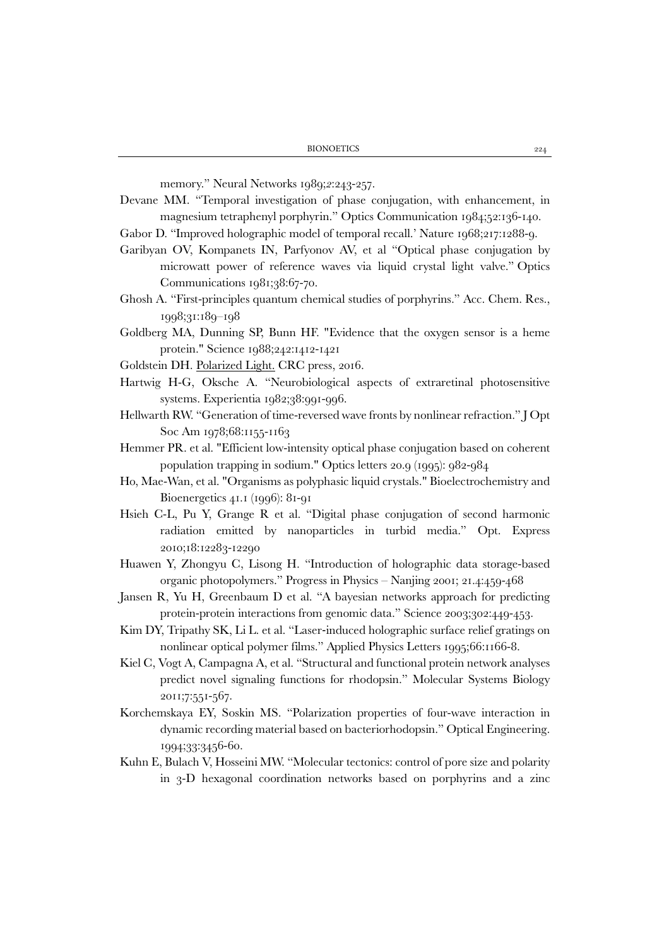memory." Neural Networks 1989;*2*:243-257.

- Devane MM. "Temporal investigation of phase conjugation, with enhancement, in magnesium tetraphenyl porphyrin." Optics Communication 1984;52:136-140.
- Gabor D. "Improved holographic model of temporal recall.' Nature 1968;217:1288-9.
- Garibyan OV, Kompanets IN, Parfyonov AV, et al "Optical phase conjugation by microwatt power of reference waves via liquid crystal light valve." Optics Communications 1981;38:67-70.
- Ghosh A. "First-principles quantum chemical studies of porphyrins." Acc. Chem. Res., 1998;31:189–198
- Goldberg MA, Dunning SP, Bunn HF. "Evidence that the oxygen sensor is a heme protein." Science 1988;242:1412-1421
- Goldstein DH. Polarized Light. CRC press, 2016.
- Hartwig H-G, Oksche A. "Neurobiological aspects of extraretinal photosensitive systems. Experientia 1982;38:991-996.
- Hellwarth RW. "Generation of time-reversed wave fronts by nonlinear refraction." J Opt Soc Am 1978;68:1155-1163
- Hemmer PR. et al. "Efficient low-intensity optical phase conjugation based on coherent population trapping in sodium." Optics letters 20.9 (1995): 982-984
- Ho, Mae-Wan, et al. "Organisms as polyphasic liquid crystals." Bioelectrochemistry and Bioenergetics 41.1 (1996): 81-91
- Hsieh C-L, Pu Y, Grange R et al. "Digital phase conjugation of second harmonic radiation emitted by nanoparticles in turbid media." Opt. Express 2010;18:12283-12290
- Huawen Y, Zhongyu C, Lisong H. "Introduction of holographic data storage-based organic photopolymers." Progress in Physics – Nanjing 2001; 21.4:459-468
- Jansen R, Yu H, Greenbaum D et al. "A bayesian networks approach for predicting protein-protein interactions from genomic data." Science 2003;302:449-453.
- Kim DY, Tripathy SK, Li L. et al. "Laser-induced holographic surface relief gratings on nonlinear optical polymer films." Applied Physics Letters 1995;66:1166-8.
- Kiel C, Vogt A, Campagna A, et al. "Structural and functional protein network analyses predict novel signaling functions for rhodopsin." Molecular Systems Biology 2011;7:551-567.
- Korchemskaya EY, Soskin MS. "Polarization properties of four-wave interaction in dynamic recording material based on bacteriorhodopsin." Optical Engineering. 1994;33:3456-60.
- Kuhn E, Bulach V, Hosseini MW. "Molecular tectonics: control of pore size and polarity in 3-D hexagonal coordination networks based on porphyrins and a zinc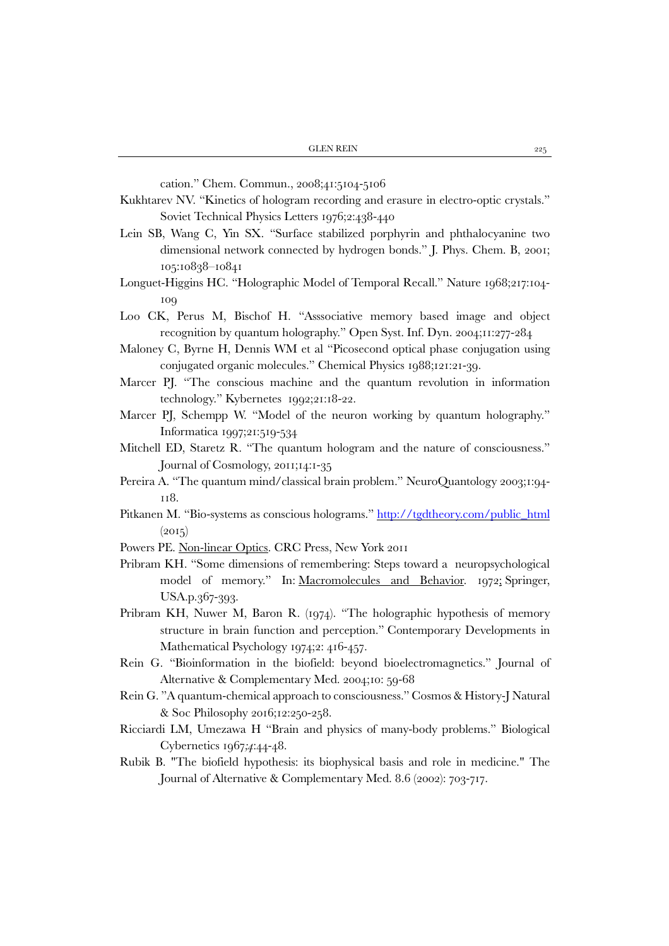cation." Chem. Commun., 2008;41:5104-5106

- Kukhtarev NV. "Kinetics of hologram recording and erasure in electro-optic crystals." Soviet Technical Physics Letters 1976;2:438-440
- Lein SB, Wang C, Yin SX. "Surface stabilized porphyrin and phthalocyanine two dimensional network connected by hydrogen bonds." J. Phys. Chem. B, 2001; 105:10838–10841
- Longuet-Higgins HC. "Holographic Model of Temporal Recall." Nature 1968;217:104- 109
- Loo CK, Perus M, Bischof H. "Asssociative memory based image and object recognition by quantum holography." Open Syst. Inf. Dyn. 2004;11:277-284
- Maloney C, Byrne H, Dennis WM et al "Picosecond optical phase conjugation using conjugated organic molecules." Chemical Physics 1988;121:21-39.
- Marcer PJ. "The conscious machine and the quantum revolution in information technology." Kybernetes 1992;21:18-22.
- Marcer PJ, Schempp W. "Model of the neuron working by quantum holography." Informatica 1997;21:519-534
- Mitchell ED, Staretz R. "The quantum hologram and the nature of consciousness." Journal of Cosmology, 2011;14:1-35
- Pereira A. "The quantum mind/classical brain problem." NeuroQuantology 2003;1:94- 118.
- Pitkanen M. "Bio-systems as conscious holograms." [http://tgdtheory.com/public\\_html](http://tgdtheory.com/public_html)  $(2015)$
- Powers PE. Non-linear Optics. CRC Press, New York 2011
- Pribram KH. "Some dimensions of remembering: Steps toward a neuropsychological model of memory." In: Macromolecules and Behavior. 1972; Springer, USA.p.367-393.
- Pribram KH, Nuwer M, Baron R. (1974). "The holographic hypothesis of memory structure in brain function and perception." Contemporary Developments in Mathematical Psychology 1974;2: 416-457.
- Rein G. "Bioinformation in the biofield: beyond bioelectromagnetics." Journal of Alternative & Complementary Med. 2004;10: 59-68
- Rein G. "A quantum-chemical approach to consciousness." Cosmos & History-J Natural & Soc Philosophy 2016;12:250-258.
- Ricciardi LM, Umezawa H "Brain and physics of many-body problems." Biological Cybernetics 1967*;4*:44-48.
- Rubik B. "The biofield hypothesis: its biophysical basis and role in medicine." The Journal of Alternative & Complementary Med. 8.6 (2002): 703-717.